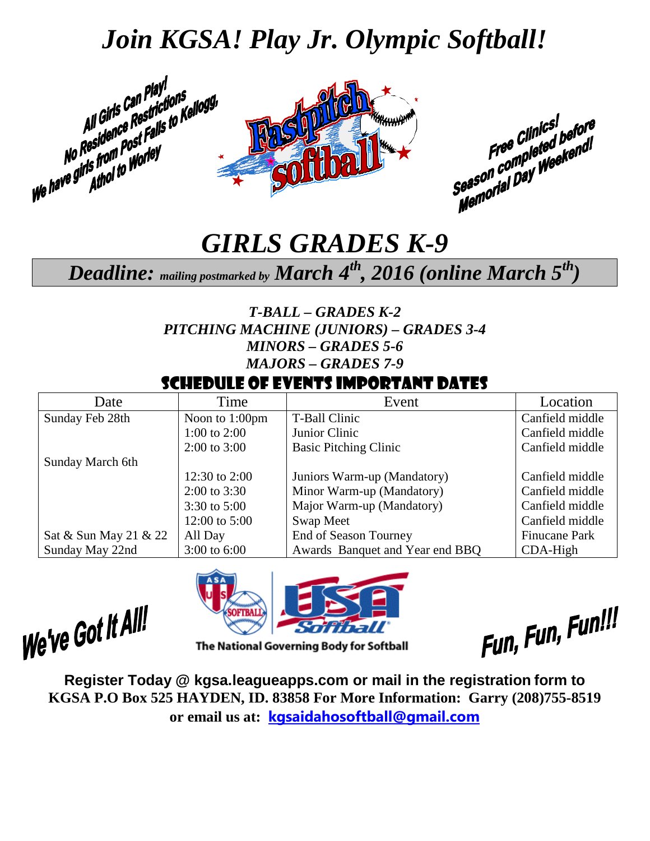### *Join KGSA! Play Jr. Olympic Softball!*



### *GIRLS GRADES K-9*

### *Deadline: mailing postmarked by March 4th, 2016 (online March 5th)*

*T-BALL – GRADES K-2 PITCHING MACHINE (JUNIORS) – GRADES 3-4 MINORS – GRADES 5-6 MAJORS – GRADES 7-9*

#### Schedule of Events Important Dates

| Date                  | Time             | Event                           | Location             |
|-----------------------|------------------|---------------------------------|----------------------|
| Sunday Feb 28th       | Noon to 1:00pm   | T-Ball Clinic                   | Canfield middle      |
|                       | 1:00 to $2:00$   | Junior Clinic                   | Canfield middle      |
|                       | $2:00$ to $3:00$ | <b>Basic Pitching Clinic</b>    | Canfield middle      |
| Sunday March 6th      |                  |                                 |                      |
|                       | 12:30 to 2:00    | Juniors Warm-up (Mandatory)     | Canfield middle      |
|                       | $2:00$ to 3:30   | Minor Warm-up (Mandatory)       | Canfield middle      |
|                       | 3:30 to $5:00$   | Major Warm-up (Mandatory)       | Canfield middle      |
|                       | 12:00 to $5:00$  | Swap Meet                       | Canfield middle      |
| Sat & Sun May 21 & 22 | All Day          | End of Season Tourney           | <b>Finucane Park</b> |
| Sunday May 22nd       | $3:00$ to 6:00   | Awards Banquet and Year end BBQ | $CDA-High$           |

We've Got It All!



The National Governing Body for Softball

Fun, Fun, Fun!!!

**Register Today @ kgsa.leagueapps.com or mail in the registration form to KGSA P.O Box 525 HAYDEN, ID. 83858 For More Information: Garry (208)755-8519 or email us at: [kgsaidahosoftball@gmail.com](mailto:kgsaidahosoftball@gmail.com)**